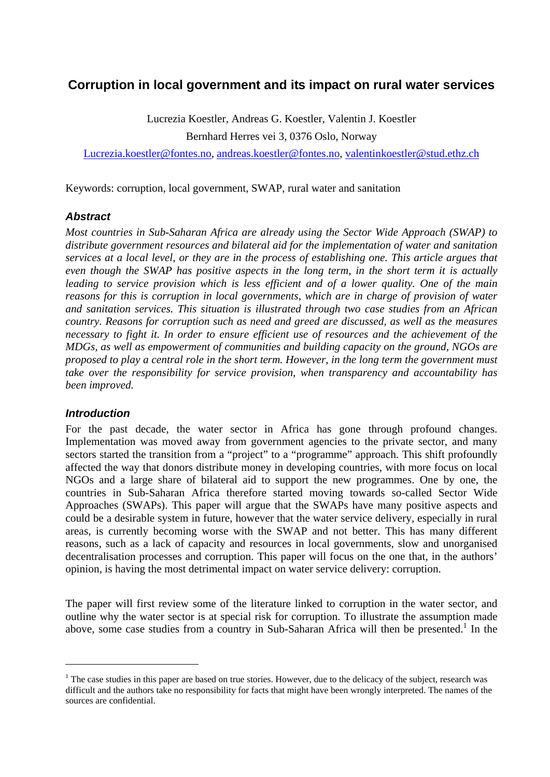# **Corruption in local government and its impact on rural water services**

Lucrezia Koestler, Andreas G. Koestler, Valentin J. Koestler Bernhard Herres vei 3, 0376 Oslo, Norway

Lucrezia.koestler@fontes.no, andreas.koestler@fontes.no, valentinkoestler@stud.ethz.ch

Keywords: corruption, local government, SWAP, rural water and sanitation

#### *Abstract*

*Most countries in Sub-Saharan Africa are already using the Sector Wide Approach (SWAP) to distribute government resources and bilateral aid for the implementation of water and sanitation services at a local level, or they are in the process of establishing one. This article argues that even though the SWAP has positive aspects in the long term, in the short term it is actually*  leading to service provision which is less efficient and of a lower quality. One of the main *reasons for this is corruption in local governments, which are in charge of provision of water and sanitation services. This situation is illustrated through two case studies from an African country. Reasons for corruption such as need and greed are discussed, as well as the measures necessary to fight it. In order to ensure efficient use of resources and the achievement of the MDGs, as well as empowerment of communities and building capacity on the ground, NGOs are proposed to play a central role in the short term. However, in the long term the government must take over the responsibility for service provision, when transparency and accountability has been improved.* 

#### *Introduction*

<u>.</u>

For the past decade, the water sector in Africa has gone through profound changes. Implementation was moved away from government agencies to the private sector, and many sectors started the transition from a "project" to a "programme" approach. This shift profoundly affected the way that donors distribute money in developing countries, with more focus on local NGOs and a large share of bilateral aid to support the new programmes. One by one, the countries in Sub-Saharan Africa therefore started moving towards so-called Sector Wide Approaches (SWAPs). This paper will argue that the SWAPs have many positive aspects and could be a desirable system in future, however that the water service delivery, especially in rural areas, is currently becoming worse with the SWAP and not better. This has many different reasons, such as a lack of capacity and resources in local governments, slow and unorganised decentralisation processes and corruption. This paper will focus on the one that, in the authors' opinion, is having the most detrimental impact on water service delivery: corruption.

The paper will first review some of the literature linked to corruption in the water sector, and outline why the water sector is at special risk for corruption. To illustrate the assumption made above, some case studies from a country in Sub-Saharan Africa will then be presented.<sup>1</sup> In the

 $<sup>1</sup>$  The case studies in this paper are based on true stories. However, due to the delicacy of the subject, research was</sup> difficult and the authors take no responsibility for facts that might have been wrongly interpreted. The names of the sources are confidential.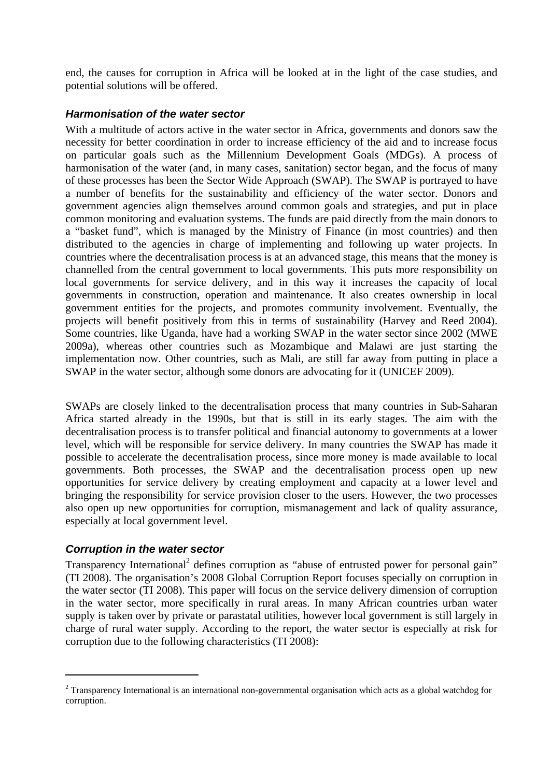end, the causes for corruption in Africa will be looked at in the light of the case studies, and potential solutions will be offered.

### *Harmonisation of the water sector*

With a multitude of actors active in the water sector in Africa, governments and donors saw the necessity for better coordination in order to increase efficiency of the aid and to increase focus on particular goals such as the Millennium Development Goals (MDGs). A process of harmonisation of the water (and, in many cases, sanitation) sector began, and the focus of many of these processes has been the Sector Wide Approach (SWAP). The SWAP is portrayed to have a number of benefits for the sustainability and efficiency of the water sector. Donors and government agencies align themselves around common goals and strategies, and put in place common monitoring and evaluation systems. The funds are paid directly from the main donors to a "basket fund", which is managed by the Ministry of Finance (in most countries) and then distributed to the agencies in charge of implementing and following up water projects. In countries where the decentralisation process is at an advanced stage, this means that the money is channelled from the central government to local governments. This puts more responsibility on local governments for service delivery, and in this way it increases the capacity of local governments in construction, operation and maintenance. It also creates ownership in local government entities for the projects, and promotes community involvement. Eventually, the projects will benefit positively from this in terms of sustainability (Harvey and Reed 2004). Some countries, like Uganda, have had a working SWAP in the water sector since 2002 (MWE 2009a), whereas other countries such as Mozambique and Malawi are just starting the implementation now. Other countries, such as Mali, are still far away from putting in place a SWAP in the water sector, although some donors are advocating for it (UNICEF 2009).

SWAPs are closely linked to the decentralisation process that many countries in Sub-Saharan Africa started already in the 1990s, but that is still in its early stages. The aim with the decentralisation process is to transfer political and financial autonomy to governments at a lower level, which will be responsible for service delivery. In many countries the SWAP has made it possible to accelerate the decentralisation process, since more money is made available to local governments. Both processes, the SWAP and the decentralisation process open up new opportunities for service delivery by creating employment and capacity at a lower level and bringing the responsibility for service provision closer to the users. However, the two processes also open up new opportunities for corruption, mismanagement and lack of quality assurance, especially at local government level.

# *Corruption in the water sector*

1

Transparency International<sup>2</sup> defines corruption as "abuse of entrusted power for personal gain" (TI 2008). The organisation's 2008 Global Corruption Report focuses specially on corruption in the water sector (TI 2008). This paper will focus on the service delivery dimension of corruption in the water sector, more specifically in rural areas. In many African countries urban water supply is taken over by private or parastatal utilities, however local government is still largely in charge of rural water supply. According to the report, the water sector is especially at risk for corruption due to the following characteristics (TI 2008):

 $2$  Transparency International is an international non-governmental organisation which acts as a global watchdog for corruption.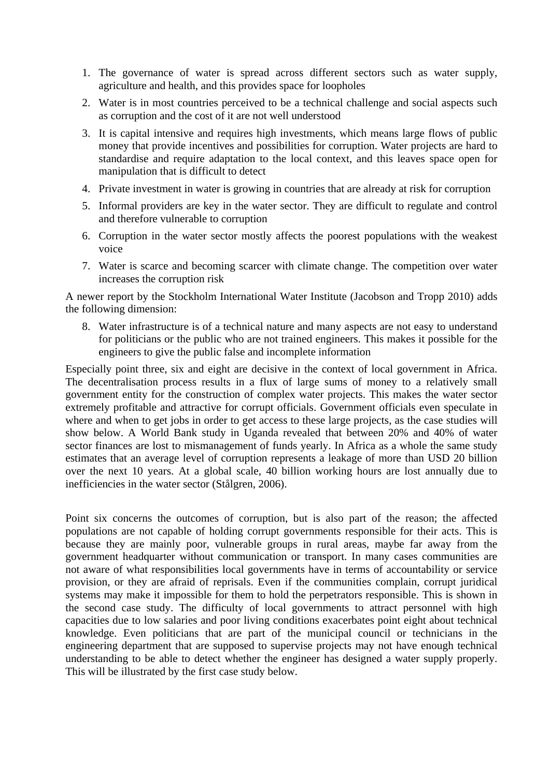- 1. The governance of water is spread across different sectors such as water supply, agriculture and health, and this provides space for loopholes
- 2. Water is in most countries perceived to be a technical challenge and social aspects such as corruption and the cost of it are not well understood
- 3. It is capital intensive and requires high investments, which means large flows of public money that provide incentives and possibilities for corruption. Water projects are hard to standardise and require adaptation to the local context, and this leaves space open for manipulation that is difficult to detect
- 4. Private investment in water is growing in countries that are already at risk for corruption
- 5. Informal providers are key in the water sector. They are difficult to regulate and control and therefore vulnerable to corruption
- 6. Corruption in the water sector mostly affects the poorest populations with the weakest voice
- 7. Water is scarce and becoming scarcer with climate change. The competition over water increases the corruption risk

A newer report by the Stockholm International Water Institute (Jacobson and Tropp 2010) adds the following dimension:

8. Water infrastructure is of a technical nature and many aspects are not easy to understand for politicians or the public who are not trained engineers. This makes it possible for the engineers to give the public false and incomplete information

Especially point three, six and eight are decisive in the context of local government in Africa. The decentralisation process results in a flux of large sums of money to a relatively small government entity for the construction of complex water projects. This makes the water sector extremely profitable and attractive for corrupt officials. Government officials even speculate in where and when to get jobs in order to get access to these large projects, as the case studies will show below. A World Bank study in Uganda revealed that between 20% and 40% of water sector finances are lost to mismanagement of funds yearly. In Africa as a whole the same study estimates that an average level of corruption represents a leakage of more than USD 20 billion over the next 10 years. At a global scale, 40 billion working hours are lost annually due to inefficiencies in the water sector (Stålgren, 2006).

Point six concerns the outcomes of corruption, but is also part of the reason; the affected populations are not capable of holding corrupt governments responsible for their acts. This is because they are mainly poor, vulnerable groups in rural areas, maybe far away from the government headquarter without communication or transport. In many cases communities are not aware of what responsibilities local governments have in terms of accountability or service provision, or they are afraid of reprisals. Even if the communities complain, corrupt juridical systems may make it impossible for them to hold the perpetrators responsible. This is shown in the second case study. The difficulty of local governments to attract personnel with high capacities due to low salaries and poor living conditions exacerbates point eight about technical knowledge. Even politicians that are part of the municipal council or technicians in the engineering department that are supposed to supervise projects may not have enough technical understanding to be able to detect whether the engineer has designed a water supply properly. This will be illustrated by the first case study below.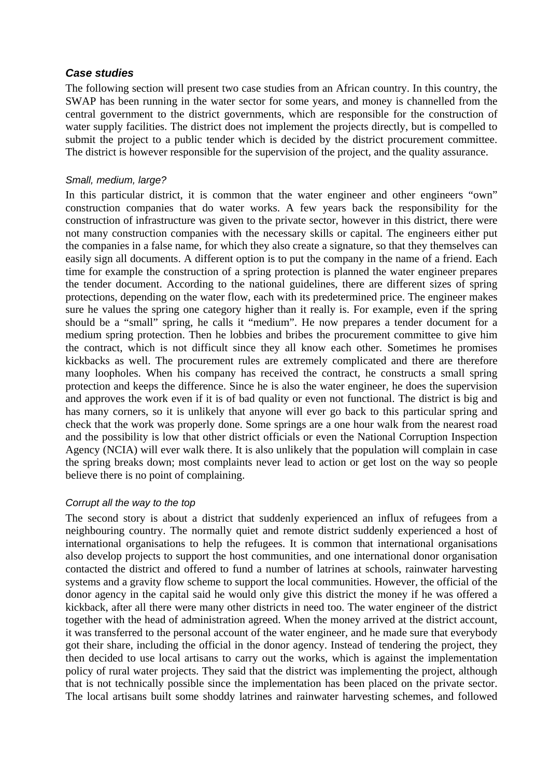#### *Case studies*

The following section will present two case studies from an African country. In this country, the SWAP has been running in the water sector for some years, and money is channelled from the central government to the district governments, which are responsible for the construction of water supply facilities. The district does not implement the projects directly, but is compelled to submit the project to a public tender which is decided by the district procurement committee. The district is however responsible for the supervision of the project, and the quality assurance.

#### *Small, medium, large?*

In this particular district, it is common that the water engineer and other engineers "own" construction companies that do water works. A few years back the responsibility for the construction of infrastructure was given to the private sector, however in this district, there were not many construction companies with the necessary skills or capital. The engineers either put the companies in a false name, for which they also create a signature, so that they themselves can easily sign all documents. A different option is to put the company in the name of a friend. Each time for example the construction of a spring protection is planned the water engineer prepares the tender document. According to the national guidelines, there are different sizes of spring protections, depending on the water flow, each with its predetermined price. The engineer makes sure he values the spring one category higher than it really is. For example, even if the spring should be a "small" spring, he calls it "medium". He now prepares a tender document for a medium spring protection. Then he lobbies and bribes the procurement committee to give him the contract, which is not difficult since they all know each other. Sometimes he promises kickbacks as well. The procurement rules are extremely complicated and there are therefore many loopholes. When his company has received the contract, he constructs a small spring protection and keeps the difference. Since he is also the water engineer, he does the supervision and approves the work even if it is of bad quality or even not functional. The district is big and has many corners, so it is unlikely that anyone will ever go back to this particular spring and check that the work was properly done. Some springs are a one hour walk from the nearest road and the possibility is low that other district officials or even the National Corruption Inspection Agency (NCIA) will ever walk there. It is also unlikely that the population will complain in case the spring breaks down; most complaints never lead to action or get lost on the way so people believe there is no point of complaining.

# *Corrupt all the way to the top*

The second story is about a district that suddenly experienced an influx of refugees from a neighbouring country. The normally quiet and remote district suddenly experienced a host of international organisations to help the refugees. It is common that international organisations also develop projects to support the host communities, and one international donor organisation contacted the district and offered to fund a number of latrines at schools, rainwater harvesting systems and a gravity flow scheme to support the local communities. However, the official of the donor agency in the capital said he would only give this district the money if he was offered a kickback, after all there were many other districts in need too. The water engineer of the district together with the head of administration agreed. When the money arrived at the district account, it was transferred to the personal account of the water engineer, and he made sure that everybody got their share, including the official in the donor agency. Instead of tendering the project, they then decided to use local artisans to carry out the works, which is against the implementation policy of rural water projects. They said that the district was implementing the project, although that is not technically possible since the implementation has been placed on the private sector. The local artisans built some shoddy latrines and rainwater harvesting schemes, and followed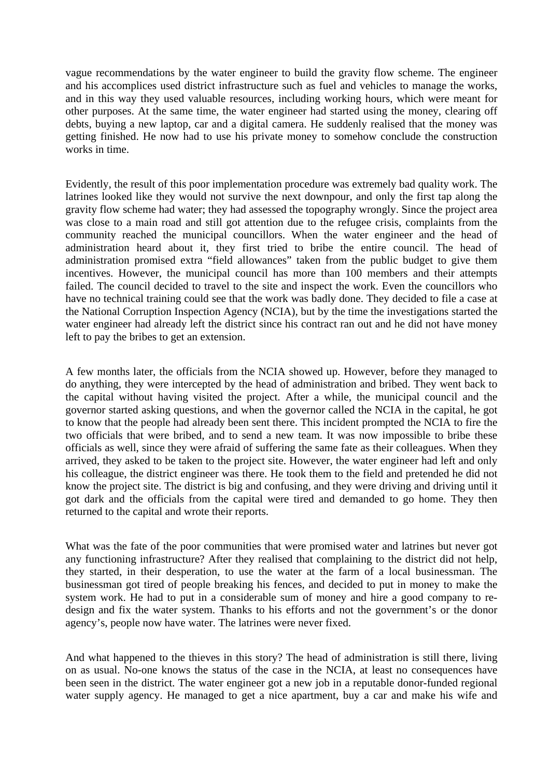vague recommendations by the water engineer to build the gravity flow scheme. The engineer and his accomplices used district infrastructure such as fuel and vehicles to manage the works, and in this way they used valuable resources, including working hours, which were meant for other purposes. At the same time, the water engineer had started using the money, clearing off debts, buying a new laptop, car and a digital camera. He suddenly realised that the money was getting finished. He now had to use his private money to somehow conclude the construction works in time.

Evidently, the result of this poor implementation procedure was extremely bad quality work. The latrines looked like they would not survive the next downpour, and only the first tap along the gravity flow scheme had water; they had assessed the topography wrongly. Since the project area was close to a main road and still got attention due to the refugee crisis, complaints from the community reached the municipal councillors. When the water engineer and the head of administration heard about it, they first tried to bribe the entire council. The head of administration promised extra "field allowances" taken from the public budget to give them incentives. However, the municipal council has more than 100 members and their attempts failed. The council decided to travel to the site and inspect the work. Even the councillors who have no technical training could see that the work was badly done. They decided to file a case at the National Corruption Inspection Agency (NCIA), but by the time the investigations started the water engineer had already left the district since his contract ran out and he did not have money left to pay the bribes to get an extension.

A few months later, the officials from the NCIA showed up. However, before they managed to do anything, they were intercepted by the head of administration and bribed. They went back to the capital without having visited the project. After a while, the municipal council and the governor started asking questions, and when the governor called the NCIA in the capital, he got to know that the people had already been sent there. This incident prompted the NCIA to fire the two officials that were bribed, and to send a new team. It was now impossible to bribe these officials as well, since they were afraid of suffering the same fate as their colleagues. When they arrived, they asked to be taken to the project site. However, the water engineer had left and only his colleague, the district engineer was there. He took them to the field and pretended he did not know the project site. The district is big and confusing, and they were driving and driving until it got dark and the officials from the capital were tired and demanded to go home. They then returned to the capital and wrote their reports.

What was the fate of the poor communities that were promised water and latrines but never got any functioning infrastructure? After they realised that complaining to the district did not help, they started, in their desperation, to use the water at the farm of a local businessman. The businessman got tired of people breaking his fences, and decided to put in money to make the system work. He had to put in a considerable sum of money and hire a good company to redesign and fix the water system. Thanks to his efforts and not the government's or the donor agency's, people now have water. The latrines were never fixed.

And what happened to the thieves in this story? The head of administration is still there, living on as usual. No-one knows the status of the case in the NCIA, at least no consequences have been seen in the district. The water engineer got a new job in a reputable donor-funded regional water supply agency. He managed to get a nice apartment, buy a car and make his wife and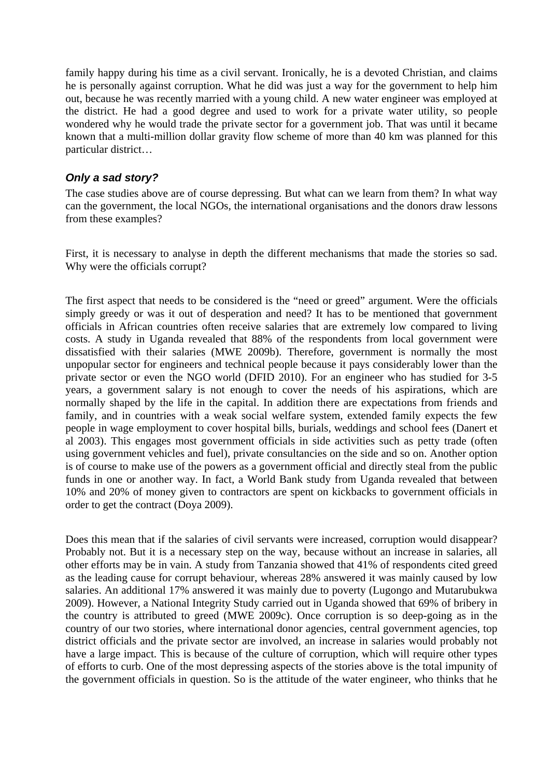family happy during his time as a civil servant. Ironically, he is a devoted Christian, and claims he is personally against corruption. What he did was just a way for the government to help him out, because he was recently married with a young child. A new water engineer was employed at the district. He had a good degree and used to work for a private water utility, so people wondered why he would trade the private sector for a government job. That was until it became known that a multi-million dollar gravity flow scheme of more than 40 km was planned for this particular district…

# *Only a sad story?*

The case studies above are of course depressing. But what can we learn from them? In what way can the government, the local NGOs, the international organisations and the donors draw lessons from these examples?

First, it is necessary to analyse in depth the different mechanisms that made the stories so sad. Why were the officials corrupt?

The first aspect that needs to be considered is the "need or greed" argument. Were the officials simply greedy or was it out of desperation and need? It has to be mentioned that government officials in African countries often receive salaries that are extremely low compared to living costs. A study in Uganda revealed that 88% of the respondents from local government were dissatisfied with their salaries (MWE 2009b). Therefore, government is normally the most unpopular sector for engineers and technical people because it pays considerably lower than the private sector or even the NGO world (DFID 2010). For an engineer who has studied for 3-5 years, a government salary is not enough to cover the needs of his aspirations, which are normally shaped by the life in the capital. In addition there are expectations from friends and family, and in countries with a weak social welfare system, extended family expects the few people in wage employment to cover hospital bills, burials, weddings and school fees (Danert et al 2003). This engages most government officials in side activities such as petty trade (often using government vehicles and fuel), private consultancies on the side and so on. Another option is of course to make use of the powers as a government official and directly steal from the public funds in one or another way. In fact, a World Bank study from Uganda revealed that between 10% and 20% of money given to contractors are spent on kickbacks to government officials in order to get the contract (Doya 2009).

Does this mean that if the salaries of civil servants were increased, corruption would disappear? Probably not. But it is a necessary step on the way, because without an increase in salaries, all other efforts may be in vain. A study from Tanzania showed that 41% of respondents cited greed as the leading cause for corrupt behaviour, whereas 28% answered it was mainly caused by low salaries. An additional 17% answered it was mainly due to poverty (Lugongo and Mutarubukwa 2009). However, a National Integrity Study carried out in Uganda showed that 69% of bribery in the country is attributed to greed (MWE 2009c). Once corruption is so deep-going as in the country of our two stories, where international donor agencies, central government agencies, top district officials and the private sector are involved, an increase in salaries would probably not have a large impact. This is because of the culture of corruption, which will require other types of efforts to curb. One of the most depressing aspects of the stories above is the total impunity of the government officials in question. So is the attitude of the water engineer, who thinks that he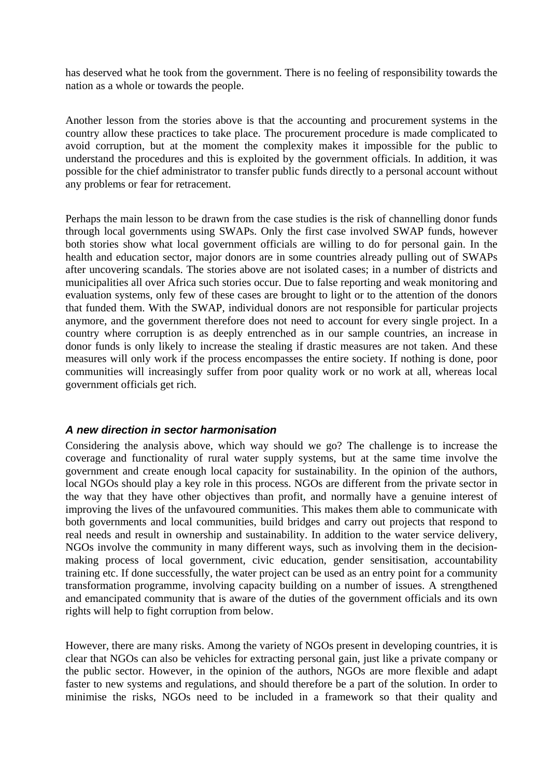has deserved what he took from the government. There is no feeling of responsibility towards the nation as a whole or towards the people.

Another lesson from the stories above is that the accounting and procurement systems in the country allow these practices to take place. The procurement procedure is made complicated to avoid corruption, but at the moment the complexity makes it impossible for the public to understand the procedures and this is exploited by the government officials. In addition, it was possible for the chief administrator to transfer public funds directly to a personal account without any problems or fear for retracement.

Perhaps the main lesson to be drawn from the case studies is the risk of channelling donor funds through local governments using SWAPs. Only the first case involved SWAP funds, however both stories show what local government officials are willing to do for personal gain. In the health and education sector, major donors are in some countries already pulling out of SWAPs after uncovering scandals. The stories above are not isolated cases; in a number of districts and municipalities all over Africa such stories occur. Due to false reporting and weak monitoring and evaluation systems, only few of these cases are brought to light or to the attention of the donors that funded them. With the SWAP, individual donors are not responsible for particular projects anymore, and the government therefore does not need to account for every single project. In a country where corruption is as deeply entrenched as in our sample countries, an increase in donor funds is only likely to increase the stealing if drastic measures are not taken. And these measures will only work if the process encompasses the entire society. If nothing is done, poor communities will increasingly suffer from poor quality work or no work at all, whereas local government officials get rich.

#### *A new direction in sector harmonisation*

Considering the analysis above, which way should we go? The challenge is to increase the coverage and functionality of rural water supply systems, but at the same time involve the government and create enough local capacity for sustainability. In the opinion of the authors, local NGOs should play a key role in this process. NGOs are different from the private sector in the way that they have other objectives than profit, and normally have a genuine interest of improving the lives of the unfavoured communities. This makes them able to communicate with both governments and local communities, build bridges and carry out projects that respond to real needs and result in ownership and sustainability. In addition to the water service delivery, NGOs involve the community in many different ways, such as involving them in the decisionmaking process of local government, civic education, gender sensitisation, accountability training etc. If done successfully, the water project can be used as an entry point for a community transformation programme, involving capacity building on a number of issues. A strengthened and emancipated community that is aware of the duties of the government officials and its own rights will help to fight corruption from below.

However, there are many risks. Among the variety of NGOs present in developing countries, it is clear that NGOs can also be vehicles for extracting personal gain, just like a private company or the public sector. However, in the opinion of the authors, NGOs are more flexible and adapt faster to new systems and regulations, and should therefore be a part of the solution. In order to minimise the risks, NGOs need to be included in a framework so that their quality and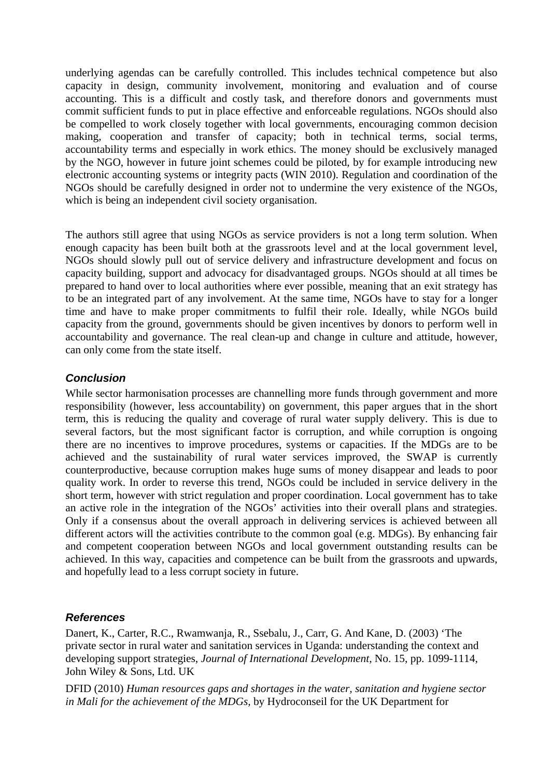underlying agendas can be carefully controlled. This includes technical competence but also capacity in design, community involvement, monitoring and evaluation and of course accounting. This is a difficult and costly task, and therefore donors and governments must commit sufficient funds to put in place effective and enforceable regulations. NGOs should also be compelled to work closely together with local governments, encouraging common decision making, cooperation and transfer of capacity; both in technical terms, social terms, accountability terms and especially in work ethics. The money should be exclusively managed by the NGO, however in future joint schemes could be piloted, by for example introducing new electronic accounting systems or integrity pacts (WIN 2010). Regulation and coordination of the NGOs should be carefully designed in order not to undermine the very existence of the NGOs, which is being an independent civil society organisation.

The authors still agree that using NGOs as service providers is not a long term solution. When enough capacity has been built both at the grassroots level and at the local government level, NGOs should slowly pull out of service delivery and infrastructure development and focus on capacity building, support and advocacy for disadvantaged groups. NGOs should at all times be prepared to hand over to local authorities where ever possible, meaning that an exit strategy has to be an integrated part of any involvement. At the same time, NGOs have to stay for a longer time and have to make proper commitments to fulfil their role. Ideally, while NGOs build capacity from the ground, governments should be given incentives by donors to perform well in accountability and governance. The real clean-up and change in culture and attitude, however, can only come from the state itself.

# *Conclusion*

While sector harmonisation processes are channelling more funds through government and more responsibility (however, less accountability) on government, this paper argues that in the short term, this is reducing the quality and coverage of rural water supply delivery. This is due to several factors, but the most significant factor is corruption, and while corruption is ongoing there are no incentives to improve procedures, systems or capacities. If the MDGs are to be achieved and the sustainability of rural water services improved, the SWAP is currently counterproductive, because corruption makes huge sums of money disappear and leads to poor quality work. In order to reverse this trend, NGOs could be included in service delivery in the short term, however with strict regulation and proper coordination. Local government has to take an active role in the integration of the NGOs' activities into their overall plans and strategies. Only if a consensus about the overall approach in delivering services is achieved between all different actors will the activities contribute to the common goal (e.g. MDGs). By enhancing fair and competent cooperation between NGOs and local government outstanding results can be achieved. In this way, capacities and competence can be built from the grassroots and upwards, and hopefully lead to a less corrupt society in future.

# *References*

Danert, K., Carter, R.C., Rwamwanja, R., Ssebalu, J., Carr, G. And Kane, D. (2003) 'The private sector in rural water and sanitation services in Uganda: understanding the context and developing support strategies, *Journal of International Development,* No. 15, pp. 1099-1114, John Wiley & Sons, Ltd. UK

DFID (2010) *Human resources gaps and shortages in the water, sanitation and hygiene sector in Mali for the achievement of the MDGs,* by Hydroconseil for the UK Department for